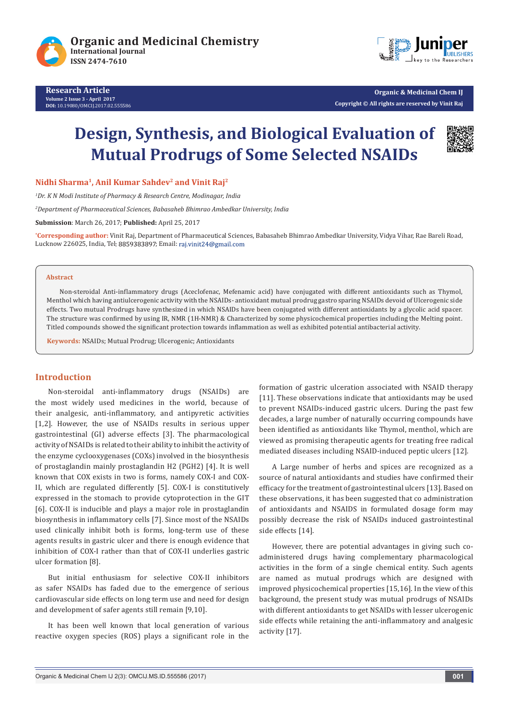





**Organic & Medicinal Chem IJ Copyright © All rights are reserved by Vinit Raj**

# **Design, Synthesis, and Biological Evaluation of Mutual Prodrugs of Some Selected NSAIDs**



Nidhi Sharma<sup>1</sup>, Anil Kumar Sahdev<sup>2</sup> and Vinit Raj<sup>2</sup>

*1 Dr. K N Modi Institute of Pharmacy & Research Centre, Modinagar, India*

*2 Department of Pharmaceutical Sciences, Babasaheb Bhimrao Ambedkar University, India*

**Submission**: March 26, 2017; **Published:** April 25, 2017

**\* Corresponding author:** Vinit Raj, Department of Pharmaceutical Sciences, Babasaheb Bhimrao Ambedkar University, Vidya Vihar, Rae Bareli Road, Lucknow 226025, India, Tel: 8859383897; Email: raj.vinit24@gmail.com

#### **Abstract**

Non-steroidal Anti-inflammatory drugs (Aceclofenac, Mefenamic acid) have conjugated with different antioxidants such as Thymol, Menthol which having antiulcerogenic activity with the NSAIDs- antioxidant mutual prodrug gastro sparing NSAIDs devoid of Ulcerogenic side effects. Two mutual Prodrugs have synthesized in which NSAIDs have been conjugated with different antioxidants by a glycolic acid spacer. The structure was confirmed by using IR, NMR (1H-NMR) & Characterized by some physicochemical properties including the Melting point. Titled compounds showed the significant protection towards inflammation as well as exhibited potential antibacterial activity.

**Keywords:** NSAIDs; Mutual Prodrug; Ulcerogenic; Antioxidants

## **Introduction**

Non-steroidal anti-inflammatory drugs (NSAIDs) are the most widely used medicines in the world, because of their analgesic, anti-inflammatory, and antipyretic activities [1,2]. However, the use of NSAIDs results in serious upper gastrointestinal (GI) adverse effects [3]. The pharmacological activity of NSAIDs is related to their ability to inhibit the activity of the enzyme cyclooxygenases (COXs) involved in the biosynthesis of prostaglandin mainly prostaglandin H2 (PGH2) [4]. It is well known that COX exists in two is forms, namely COX-I and COX-II, which are regulated differently [5]. COX-I is constitutively expressed in the stomach to provide cytoprotection in the GIT [6]. COX-II is inducible and plays a major role in prostaglandin biosynthesis in inflammatory cells [7]. Since most of the NSAIDs used clinically inhibit both is forms, long-term use of these agents results in gastric ulcer and there is enough evidence that inhibition of COX-I rather than that of COX-II underlies gastric ulcer formation [8].

But initial enthusiasm for selective COX-II inhibitors as safer NSAIDs has faded due to the emergence of serious cardiovascular side effects on long term use and need for design and development of safer agents still remain [9,10].

It has been well known that local generation of various reactive oxygen species (ROS) plays a significant role in the formation of gastric ulceration associated with NSAID therapy [11]. These observations indicate that antioxidants may be used to prevent NSAIDs-induced gastric ulcers. During the past few decades, a large number of naturally occurring compounds have been identified as antioxidants like Thymol, menthol, which are viewed as promising therapeutic agents for treating free radical mediated diseases including NSAID-induced peptic ulcers [12].

A Large number of herbs and spices are recognized as a source of natural antioxidants and studies have confirmed their efficacy for the treatment of gastrointestinal ulcers [13]. Based on these observations, it has been suggested that co administration of antioxidants and NSAIDS in formulated dosage form may possibly decrease the risk of NSAIDs induced gastrointestinal side effects [14].

However, there are potential advantages in giving such coadministered drugs having complementary pharmacological activities in the form of a single chemical entity. Such agents are named as mutual prodrugs which are designed with improved physicochemical properties [15,16]. In the view of this background, the present study was mutual prodrugs of NSAIDs with different antioxidants to get NSAIDs with lesser ulcerogenic side effects while retaining the anti-inflammatory and analgesic activity [17].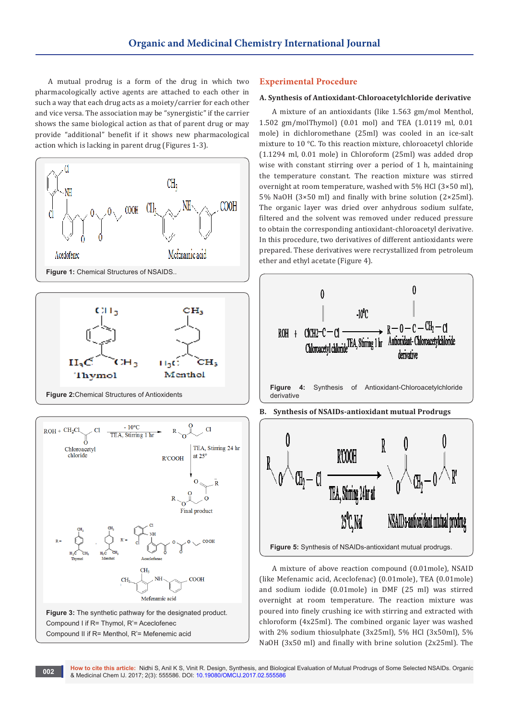A mutual prodrug is a form of the drug in which two pharmacologically active agents are attached to each other in such a way that each drug acts as a moiety/carrier for each other and vice versa. The association may be "synergistic" if the carrier shows the same biological action as that of parent drug or may provide "additional" benefit if it shows new pharmacological action which is lacking in parent drug (Figures 1-3).





**Figure 2:**Chemical Structures of Antioxidents



**Figure 3:** The synthetic pathway for the designated product. Compound I if R= Thymol, R'= Aceclofenec Compound II if R= Menthol, R'= Mefenemic acid

# **Experimental Procedure**

#### **A. Synthesis of Antioxidant-Chloroacetylchloride derivative**

A mixture of an antioxidants (like 1.563 gm/mol Menthol, 1.502 gm/molThymol) (0.01 mol) and TEA (1.0119 ml, 0.01 mole) in dichloromethane (25ml) was cooled in an ice-salt mixture to 10 °C. To this reaction mixture, chloroacetyl chloride (1.1294 ml, 0.01 mole) in Chloroform (25ml) was added drop wise with constant stirring over a period of 1 h, maintaining the temperature constant. The reaction mixture was stirred overnight at room temperature, washed with 5% HCl (3×50 ml), 5% NaOH (3×50 ml) and finally with brine solution (2×25ml). The organic layer was dried over anhydrous sodium sulfate, filtered and the solvent was removed under reduced pressure to obtain the corresponding antioxidant-chloroacetyl derivative. In this procedure, two derivatives of different antioxidants were prepared. These derivatives were recrystallized from petroleum ether and ethyl acetate (Figure 4).



A mixture of above reaction compound (0.01mole), NSAID (like Mefenamic acid, Aceclofenac) (0.01mole), TEA (0.01mole) and sodium iodide (0.01mole) in DMF (25 ml) was stirred overnight at room temperature. The reaction mixture was poured into finely crushing ice with stirring and extracted with chloroform (4x25ml). The combined organic layer was washed with 2% sodium thiosulphate (3x25ml), 5% HCl (3x50ml), 5% NaOH (3x50 ml) and finally with brine solution (2x25ml). The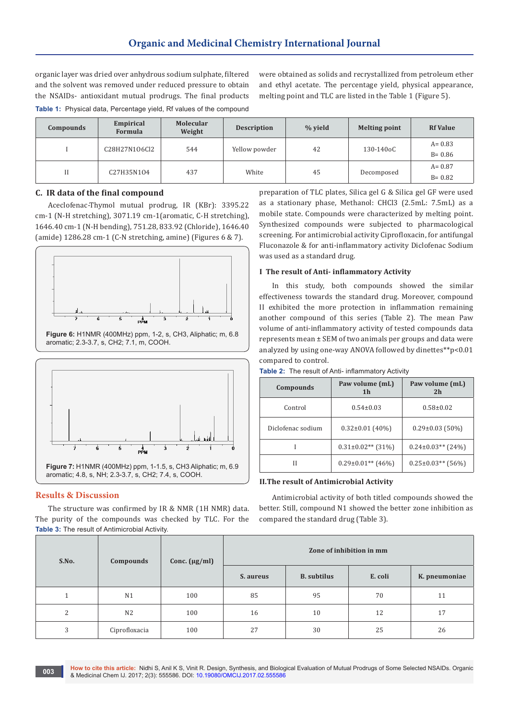organic layer was dried over anhydrous sodium sulphate, filtered and the solvent was removed under reduced pressure to obtain the NSAIDs- antioxidant mutual prodrugs. The final products

were obtained as solids and recrystallized from petroleum ether and ethyl acetate. The percentage yield, physical appearance, melting point and TLC are listed in the Table 1 (Figure 5).

|  |  | Table 1: Physical data, Percentage yield, Rf values of the compound |  |  |
|--|--|---------------------------------------------------------------------|--|--|
|--|--|---------------------------------------------------------------------|--|--|

| Compounds | Empirical<br>Formula | Molecular<br>Weight | <b>Description</b> | % yield | <b>Melting point</b>   | <b>Rf Value</b> |
|-----------|----------------------|---------------------|--------------------|---------|------------------------|-----------------|
|           | C28H27N106Cl2        | 544                 | Yellow powder      | 42      | 130-140 <sub>o</sub> C | $A = 0.83$      |
|           |                      |                     |                    |         |                        | $B = 0.86$      |
| Н         | C27H35N104           | 437                 | White              | 45      | Decomposed             | $A = 0.87$      |
|           |                      |                     |                    |         |                        | $B = 0.82$      |

## **C. IR data of the final compound**

Aceclofenac-Thymol mutual prodrug, IR (KBr): 3395.22 cm-1 (N-H stretching), 3071.19 cm-1(aromatic, C-H stretching), 1646.40 cm-1 (N-H bending), 751.28, 833.92 (Chloride), 1646.40 (amide) 1286.28 cm-1 (C-N stretching, amine) (Figures 6 & 7).



**Figure 6:** H1NMR (400MHz) ppm, 1-2, s, CH3, Aliphatic; m, 6.8 aromatic; 2.3-3.7, s, CH2; 7.1, m, COOH.



## **Results & Discussion**

The structure was confirmed by IR & NMR (1H NMR) data. The purity of the compounds was checked by TLC. For the **Table 3:** The result of Antimicrobial Activity.

preparation of TLC plates, Silica gel G & Silica gel GF were used as a stationary phase, Methanol: CHCl3 (2.5mL: 7.5mL) as a mobile state. Compounds were characterized by melting point. Synthesized compounds were subjected to pharmacological screening. For antimicrobial activity Ciprofloxacin, for antifungal Fluconazole & for anti-inflammatory activity Diclofenac Sodium was used as a standard drug.

## **I The result of Anti- inflammatory Activity**

In this study, both compounds showed the similar effectiveness towards the standard drug. Moreover, compound II exhibited the more protection in inflammation remaining another compound of this series (Table 2). The mean Paw volume of anti-inflammatory activity of tested compounds data represents mean ± SEM of two animals per groups and data were analyzed by using one-way ANOVA followed by dinettes\*\*p<0.01 compared to control.

| Compounds         | Paw volume (mL)<br>1 <sub>h</sub> | Paw volume (mL)<br>2 <sub>h</sub> |  |  |
|-------------------|-----------------------------------|-----------------------------------|--|--|
| Control           | $0.54 \pm 0.03$                   | $0.58 \pm 0.02$                   |  |  |
| Diclofenac sodium | $0.32 \pm 0.01$ (40%)             | $0.29 \pm 0.03$ (50%)             |  |  |
|                   | $0.31\pm0.02**$ (31%)             | $0.24\pm0.03**$ (24%)             |  |  |
| Н                 | $0.29\pm0.01**$ (46%)             | $0.25 \pm 0.03$ ** (56%)          |  |  |

## **Table 2:** The result of Anti- inflammatory Activity

## **II.The result of Antimicrobial Activity**

Antimicrobial activity of both titled compounds showed the better. Still, compound N1 showed the better zone inhibition as compared the standard drug (Table 3).

| S.No. | Compounds      | Conc. $(\mu g/ml)$ | Zone of inhibition in mm |                    |         |               |
|-------|----------------|--------------------|--------------------------|--------------------|---------|---------------|
|       |                |                    | S. aureus                | <b>B.</b> subtilus | E. coli | K. pneumoniae |
|       | N <sub>1</sub> | 100                | 85                       | 95                 | 70      | 11            |
| 2     | N <sub>2</sub> | 100                | 16                       | 10                 | 12      | 17            |
| 3     | Ciprofloxacia  | 100                | 27                       | 30                 | 25      | 26            |